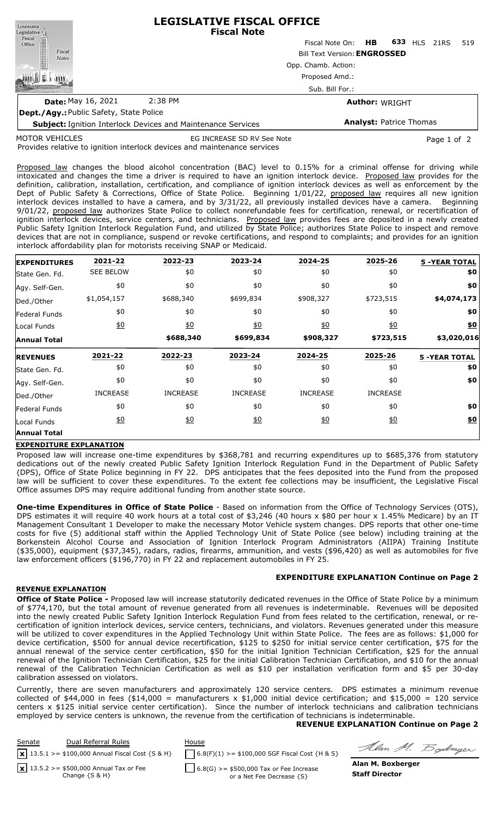| Louisiana<br>Legislative <sup>1</sup>  | <b>LEGISLATIVE FISCAL OFFICE</b><br><b>Fiscal Note</b>              |                    |  |                                |      |     |
|----------------------------------------|---------------------------------------------------------------------|--------------------|--|--------------------------------|------|-----|
| Fiscal<br>Office                       |                                                                     | Fiscal Note On: HB |  | 633<br><b>HLS</b>              | 21RS | 519 |
| Fiscal<br><b>Notes</b>                 | <b>Bill Text Version: ENGROSSED</b><br>Opp. Chamb. Action:          |                    |  |                                |      |     |
|                                        |                                                                     |                    |  |                                |      |     |
|                                        | Proposed Amd.:                                                      |                    |  |                                |      |     |
|                                        |                                                                     | Sub. Bill For.:    |  |                                |      |     |
| <b>Date: May 16, 2021</b>              | 2:38 PM                                                             |                    |  | <b>Author: WRIGHT</b>          |      |     |
| Dept./Agy: Public Safety, State Police |                                                                     |                    |  |                                |      |     |
|                                        | <b>Subject: Ignition Interlock Devices and Maintenance Services</b> |                    |  | <b>Analyst: Patrice Thomas</b> |      |     |

MOTOR VEHICLES

EG INCREASE SD RV See Note **Page 1 of 2** Page 1 of 2

Provides relative to ignition interlock devices and maintenance services

Proposed law changes the blood alcohol concentration (BAC) level to 0.15% for a criminal offense for driving while intoxicated and changes the time a driver is required to have an ignition interlock device. Proposed law provides for the definition, calibration, installation, certification, and compliance of ignition interlock devices as well as enforcement by the Dept of Public Safety & Corrections, Office of State Police. Beginning 1/01/22, proposed law requires all new ignition interlock devices installed to have a camera, and by 3/31/22, all previously installed devices have a camera. Beginning 9/01/22, proposed law authorizes State Police to collect nonrefundable fees for certification, renewal, or recertification of ignition interlock devices, service centers, and technicians. Proposed law provides fees are deposited in a newly created Public Safety Ignition Interlock Regulation Fund, and utilized by State Police; authorizes State Police to inspect and remove devices that are not in compliance, suspend or revoke certifications, and respond to complaints; and provides for an ignition interlock affordability plan for motorists receiving SNAP or Medicaid.

| <b>EXPENDITURES</b> | 2021-22          | 2022-23         | 2023-24          | 2024-25          | 2025-26           | <b>5 -YEAR TOTAL</b> |
|---------------------|------------------|-----------------|------------------|------------------|-------------------|----------------------|
| State Gen. Fd.      | <b>SEE BELOW</b> | \$0             | \$0              | \$0              | \$0               | \$0                  |
| Agy. Self-Gen.      | \$0              | \$0             | \$0              | \$0              | \$0               | \$0                  |
| Ded./Other          | \$1,054,157      | \$688,340       | \$699,834        | \$908,327        | \$723,515         | \$4,074,173          |
| Federal Funds       | \$0              | \$0             | \$0              | \$0              | \$0               | \$0                  |
| Local Funds         | $\underline{40}$ | $\frac{10}{20}$ | $\underline{50}$ | $\underline{40}$ | $\underline{\$0}$ | \$0                  |
| <b>Annual Total</b> |                  | \$688,340       | \$699,834        | \$908,327        | \$723,515         | \$3,020,016          |
| <b>REVENUES</b>     | 2021-22          | 2022-23         | 2023-24          | 2024-25          | 2025-26           | <b>5 -YEAR TOTAL</b> |
| State Gen. Fd.      | \$0              | \$0             | \$0              | \$0              | \$0               | \$0                  |
|                     |                  |                 |                  |                  |                   |                      |
| Agy. Self-Gen.      | \$0              | \$0             | \$0              | \$0              | \$0               | \$0                  |
| Ded./Other          | <b>INCREASE</b>  | <b>INCREASE</b> | <b>INCREASE</b>  | <b>INCREASE</b>  | <b>INCREASE</b>   |                      |
| Federal Funds       | \$0              | \$0             | \$0              | \$0              | \$0               | \$0                  |
| Local Funds         | $\underline{40}$ | 60              | \$0              | $\underline{50}$ | $\underline{40}$  | \$0                  |

#### **EXPENDITURE EXPLANATION**

Proposed law will increase one-time expenditures by \$368,781 and recurring expenditures up to \$685,376 from statutory dedications out of the newly created Public Safety Ignition Interlock Regulation Fund in the Department of Public Safety (DPS), Office of State Police beginning in FY 22. DPS anticipates that the fees deposited into the Fund from the proposed law will be sufficient to cover these expenditures. To the extent fee collections may be insufficient, the Legislative Fiscal Office assumes DPS may require additional funding from another state source.

**One-time Expenditures in Office of State Police** - Based on information from the Office of Technology Services (OTS), DPS estimates it will require 40 work hours at a total cost of \$3,246 (40 hours x \$80 per hour x 1.45% Medicare) by an IT Management Consultant 1 Developer to make the necessary Motor Vehicle system changes. DPS reports that other one-time costs for five (5) additional staff within the Applied Technology Unit of State Police (see below) including training at the Borkenstein Alcohol Course and Association of Ignition Interlock Program Administrators (AIIPA) Training Institute (\$35,000), equipment (\$37,345), radars, radios, firearms, ammunition, and vests (\$96,420) as well as automobiles for five law enforcement officers (\$196,770) in FY 22 and replacement automobiles in FY 25.

# **EXPENDITURE EXPLANATION Continue on Page 2**

#### **REVENUE EXPLANATION**

**Office of State Police -** Proposed law will increase statutorily dedicated revenues in the Office of State Police by a minimum of \$774,170, but the total amount of revenue generated from all revenues is indeterminable. Revenues will be deposited into the newly created Public Safety Ignition Interlock Regulation Fund from fees related to the certification, renewal, or recertification of ignition interlock devices, service centers, technicians, and violators. Revenues generated under this measure will be utilized to cover expenditures in the Applied Technology Unit within State Police. The fees are as follows: \$1,000 for device certification, \$500 for annual device recertification, \$125 to \$250 for initial service center certification, \$75 for the annual renewal of the service center certification, \$50 for the initial Ignition Technician Certification, \$25 for the annual renewal of the Ignition Technician Certification, \$25 for the initial Calibration Technician Certification, and \$10 for the annual renewal of the Calibration Technician Certification as well as \$10 per installation verification form and \$5 per 30-day calibration assessed on violators.

Currently, there are seven manufacturers and approximately 120 service centers. DPS estimates a minimum revenue collected of \$44,000 in fees (\$14,000 = manufacturers x \$1,000 initial device certification; and \$15,000 = 120 service centers x \$125 initial service center certification). Since the number of interlock technicians and calibration technicians employed by service centers is unknown, the revenue from the certification of technicians is indeterminable.

#### **REVENUE EXPLANATION Continue on Page 2**